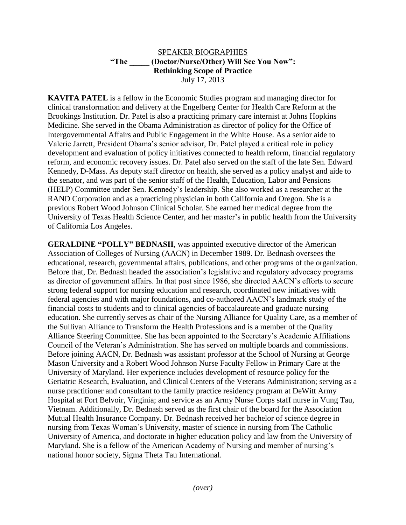## SPEAKER BIOGRAPHIES **"The \_\_\_\_\_ (Doctor/Nurse/Other) Will See You Now": Rethinking Scope of Practice** July 17, 2013

**KAVITA PATEL** is a fellow in the Economic Studies program and managing director for clinical transformation and delivery at the Engelberg Center for Health Care Reform at the Brookings Institution. Dr. Patel is also a practicing primary care internist at Johns Hopkins Medicine. She served in the Obama Administration as director of policy for the Office of Intergovernmental Affairs and Public Engagement in the White House. As a senior aide to Valerie Jarrett, President Obama's senior advisor, Dr. Patel played a critical role in policy development and evaluation of policy initiatives connected to health reform, financial regulatory reform, and economic recovery issues. Dr. Patel also served on the staff of the late Sen. Edward Kennedy, D-Mass. As deputy staff director on health, she served as a policy analyst and aide to the senator, and was part of the senior staff of the Health, Education, Labor and Pensions (HELP) Committee under Sen. Kennedy's leadership. She also worked as a researcher at the RAND Corporation and as a practicing physician in both California and Oregon. She is a previous Robert Wood Johnson Clinical Scholar. She earned her medical degree from the University of Texas Health Science Center, and her master's in public health from the University of California Los Angeles.

**GERALDINE "POLLY" BEDNASH**, was appointed executive director of the American Association of Colleges of Nursing (AACN) in December 1989. Dr. Bednash oversees the educational, research, governmental affairs, publications, and other programs of the organization. Before that, Dr. Bednash headed the association's legislative and regulatory advocacy programs as director of government affairs. In that post since 1986, she directed AACN's efforts to secure strong federal support for nursing education and research, coordinated new initiatives with federal agencies and with major foundations, and co-authored AACN's landmark study of the financial costs to students and to clinical agencies of baccalaureate and graduate nursing education. She currently serves as chair of the Nursing Alliance for Quality Care, as a member of the Sullivan Alliance to Transform the Health Professions and is a member of the Quality Alliance Steering Committee. She has been appointed to the Secretary's Academic Affiliations Council of the Veteran's Administration. She has served on multiple boards and commissions. Before joining AACN, Dr. Bednash was assistant professor at the School of Nursing at George Mason University and a Robert Wood Johnson Nurse Faculty Fellow in Primary Care at the University of Maryland. Her experience includes development of resource policy for the Geriatric Research, Evaluation, and Clinical Centers of the Veterans Administration; serving as a nurse practitioner and consultant to the family practice residency program at DeWitt Army Hospital at Fort Belvoir, Virginia; and service as an Army Nurse Corps staff nurse in Vung Tau, Vietnam. Additionally, Dr. Bednash served as the first chair of the board for the Association Mutual Health Insurance Company. Dr. Bednash received her bachelor of science degree in nursing from Texas Woman's University, master of science in nursing from The Catholic University of America, and doctorate in higher education policy and law from the University of Maryland. She is a fellow of the American Academy of Nursing and member of nursing's national honor society, Sigma Theta Tau International.